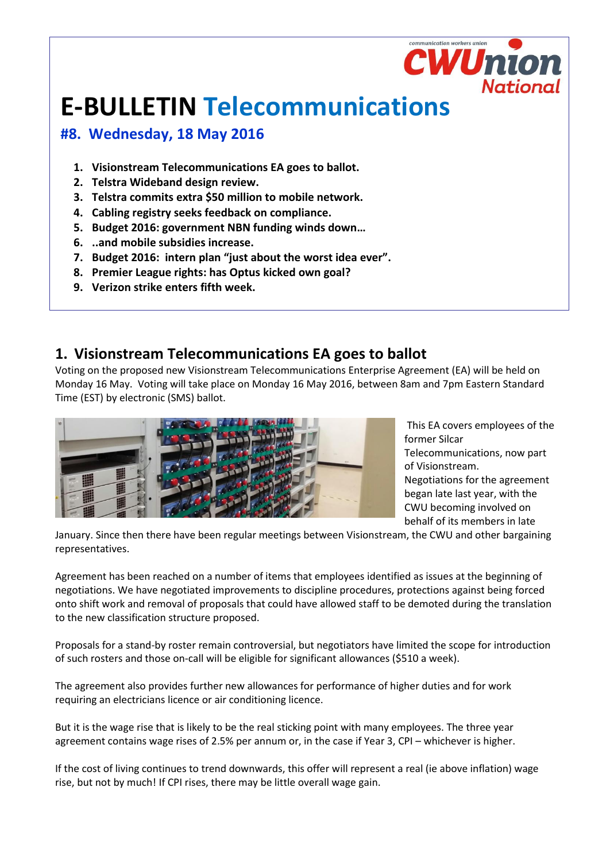# **E-BULLETIN Telecommunications**

### **#8. Wednesday, 18 May 2016**

- **1. Visionstream Telecommunications EA goes to ballot.**
- **2. Telstra Wideband design review.**
- **3. Telstra commits extra \$50 million to mobile network.**
- **4. Cabling registry seeks feedback on compliance.**
- **5. Budget 2016: government NBN funding winds down…**
- **6. ..and mobile subsidies increase.**
- **7. Budget 2016: intern plan "just about the worst idea ever".**
- **8. Premier League rights: has Optus kicked own goal?**
- **9. Verizon strike enters fifth week.**

### **1. Visionstream Telecommunications EA goes to ballot**

Voting on the proposed new Visionstream Telecommunications Enterprise Agreement (EA) will be held on Monday 16 May. Voting will take place on Monday 16 May 2016, between 8am and 7pm Eastern Standard Time (EST) by electronic (SMS) ballot.



This EA covers employees of the former Silcar

Telecommunications, now part of Visionstream.

mmunication workers unio

**CWUni** 

National

Negotiations for the agreement began late last year, with the CWU becoming involved on behalf of its members in late

January. Since then there have been regular meetings between Visionstream, the CWU and other bargaining representatives.

Agreement has been reached on a number of items that employees identified as issues at the beginning of negotiations. We have negotiated improvements to discipline procedures, protections against being forced onto shift work and removal of proposals that could have allowed staff to be demoted during the translation to the new classification structure proposed.

Proposals for a stand-by roster remain controversial, but negotiators have limited the scope for introduction of such rosters and those on-call will be eligible for significant allowances (\$510 a week).

The agreement also provides further new allowances for performance of higher duties and for work requiring an electricians licence or air conditioning licence.

But it is the wage rise that is likely to be the real sticking point with many employees. The three year agreement contains wage rises of 2.5% per annum or, in the case if Year 3, CPI – whichever is higher.

If the cost of living continues to trend downwards, this offer will represent a real (ie above inflation) wage rise, but not by much! If CPI rises, there may be little overall wage gain.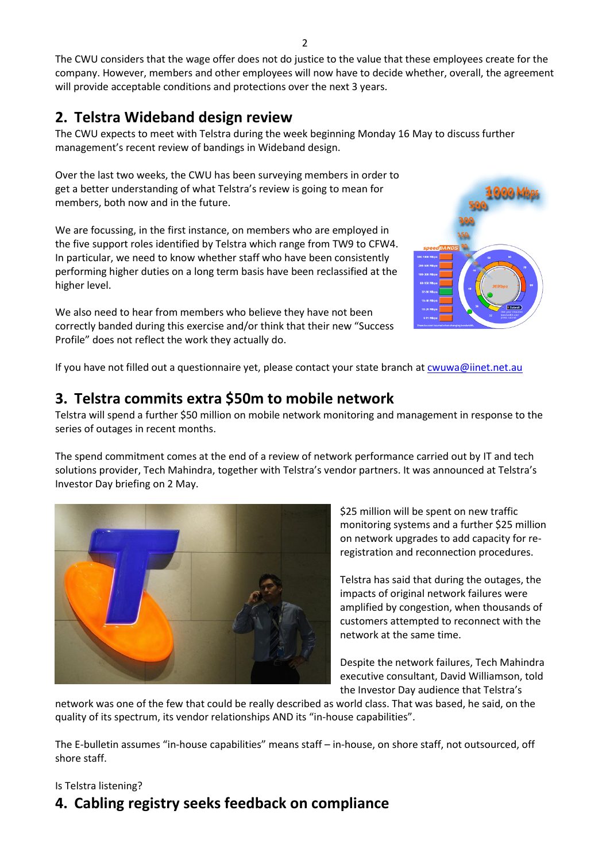The CWU considers that the wage offer does not do justice to the value that these employees create for the company. However, members and other employees will now have to decide whether, overall, the agreement will provide acceptable conditions and protections over the next 3 years.

# **2. Telstra Wideband design review**

The CWU expects to meet with Telstra during the week beginning Monday 16 May to discuss further management's recent review of bandings in Wideband design.

Over the last two weeks, the CWU has been surveying members in order to get a better understanding of what Telstra's review is going to mean for members, both now and in the future.

We are focussing, in the first instance, on members who are employed in the five support roles identified by Telstra which range from TW9 to CFW4. In particular, we need to know whether staff who have been consistently performing higher duties on a long term basis have been reclassified at the higher level.

We also need to hear from members who believe they have not been correctly banded during this exercise and/or think that their new "Success Profile" does not reflect the work they actually do.



If you have not filled out a questionnaire yet, please contact your state branch at [cwuwa@iinet.net.au](mailto:cwuwa@iinet.net.au)

#### **3. Telstra commits extra \$50m to mobile network**

Telstra will spend a further \$50 million on mobile network monitoring and management in response to the series of outages in recent months.

The spend commitment comes at the end of a review of network performance carried out by IT and tech solutions provider, Tech Mahindra, together with Telstra's vendor partners. It was announced at Telstra's Investor Day briefing on 2 May.



\$25 million will be spent on new traffic monitoring systems and a further \$25 million on network upgrades to add capacity for reregistration and reconnection procedures.

Telstra has said that during the outages, the impacts of original network failures were amplified by congestion, when thousands of customers attempted to reconnect with the network at the same time.

Despite the network failures, Tech Mahindra executive consultant, David Williamson, told the Investor Day audience that Telstra's

network was one of the few that could be really described as world class. That was based, he said, on the quality of its spectrum, its vendor relationships AND its "in-house capabilities".

The E-bulletin assumes "in-house capabilities" means staff – in-house, on shore staff, not outsourced, off shore staff.

#### Is Telstra listening?

# **4. Cabling registry seeks feedback on compliance**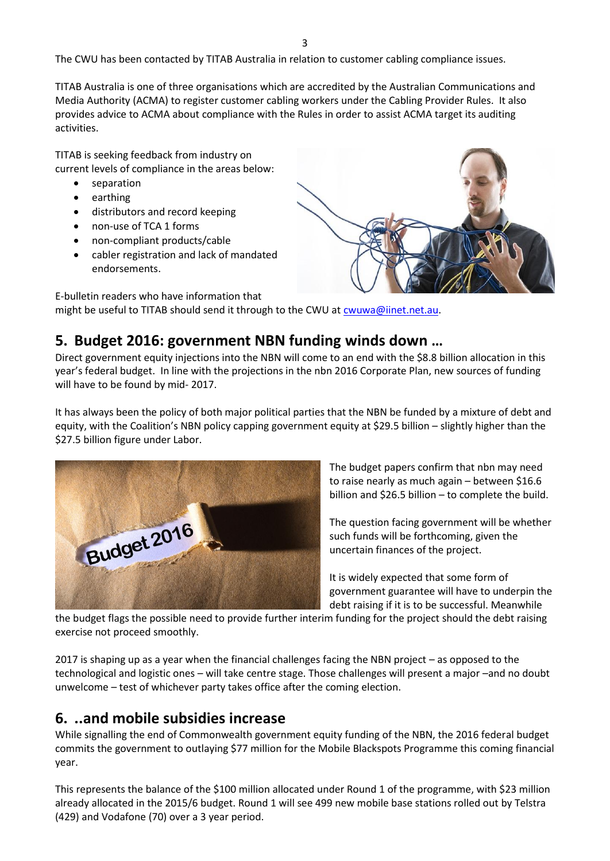The CWU has been contacted by TITAB Australia in relation to customer cabling compliance issues.

TITAB Australia is one of three organisations which are accredited by the Australian Communications and Media Authority (ACMA) to register customer cabling workers under the Cabling Provider Rules. It also provides advice to ACMA about compliance with the Rules in order to assist ACMA target its auditing activities.

TITAB is seeking feedback from industry on current levels of compliance in the areas below:

- separation
- earthing
- distributors and record keeping
- non-use of TCA 1 forms
- non-compliant products/cable
- cabler registration and lack of mandated endorsements.



E-bulletin readers who have information that might be useful to TITAB should send it through to the CWU at [cwuwa@iinet.net.au.](mailto:cwuwa@iinet.net.au)

#### **5. Budget 2016: government NBN funding winds down …**

Direct government equity injections into the NBN will come to an end with the \$8.8 billion allocation in this year's federal budget. In line with the projections in the nbn 2016 Corporate Plan, new sources of funding will have to be found by mid- 2017.

It has always been the policy of both major political parties that the NBN be funded by a mixture of debt and equity, with the Coalition's NBN policy capping government equity at \$29.5 billion – slightly higher than the \$27.5 billion figure under Labor.



The budget papers confirm that nbn may need to raise nearly as much again – between \$16.6 billion and \$26.5 billion – to complete the build.

The question facing government will be whether such funds will be forthcoming, given the uncertain finances of the project.

It is widely expected that some form of government guarantee will have to underpin the debt raising if it is to be successful. Meanwhile

the budget flags the possible need to provide further interim funding for the project should the debt raising exercise not proceed smoothly.

2017 is shaping up as a year when the financial challenges facing the NBN project – as opposed to the technological and logistic ones – will take centre stage. Those challenges will present a major –and no doubt unwelcome – test of whichever party takes office after the coming election.

#### **6. ..and mobile subsidies increase**

While signalling the end of Commonwealth government equity funding of the NBN, the 2016 federal budget commits the government to outlaying \$77 million for the Mobile Blackspots Programme this coming financial year.

This represents the balance of the \$100 million allocated under Round 1 of the programme, with \$23 million already allocated in the 2015/6 budget. Round 1 will see 499 new mobile base stations rolled out by Telstra (429) and Vodafone (70) over a 3 year period.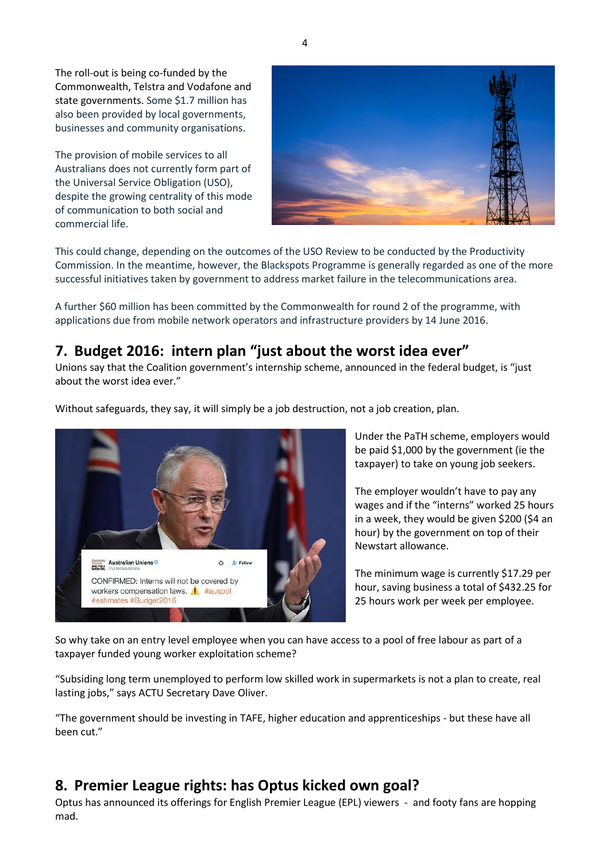The roll-out is being co-funded by the Commonwealth, Telstra and Vodafone and state governments. Some \$1.7 million has also been provided by local governments, businesses and community organisations.

The provision of mobile services to all Australians does not currently form part of the Universal Service Obligation (USO), despite the growing centrality of this mode of communication to both social and commercial life.



This could change, depending on the outcomes of the USO Review to be conducted by the Productivity Commission. In the meantime, however, the Blackspots Programme is generally regarded as one of the more successful initiatives taken by government to address market failure in the telecommunications area.

A further \$60 million has been committed by the Commonwealth for round 2 of the programme, with applications due from mobile network operators and infrastructure providers by 14 June 2016.

## **7. Budget 2016: intern plan "just about the worst idea ever"**

Unions say that the Coalition government's internship scheme, announced in the federal budget, is "just about the worst idea ever."



Without safeguards, they say, it will simply be a job destruction, not a job creation, plan.

Under the PaTH scheme, employers would be paid \$1,000 by the government (ie the taxpayer) to take on young job seekers.

The employer wouldn't have to pay any wages and if the "interns" worked 25 hours in a week, they would be given \$200 (\$4 an hour) by the government on top of their Newstart allowance.

The minimum wage is currently \$17.29 per hour, saving business a total of \$432.25 for 25 hours work per week per employee.

So why take on an entry level employee when you can have access to a pool of free labour as part of a taxpayer funded young worker exploitation scheme?

"Subsiding long term unemployed to perform low skilled work in supermarkets is not a plan to create, real lasting jobs," says ACTU Secretary Dave Oliver.

"The government should be investing in TAFE, higher education and apprenticeships - but these have all been cut."

#### **8. Premier League rights: has Optus kicked own goal?**

Optus has announced its offerings for English Premier League (EPL) viewers - and footy fans are hopping mad.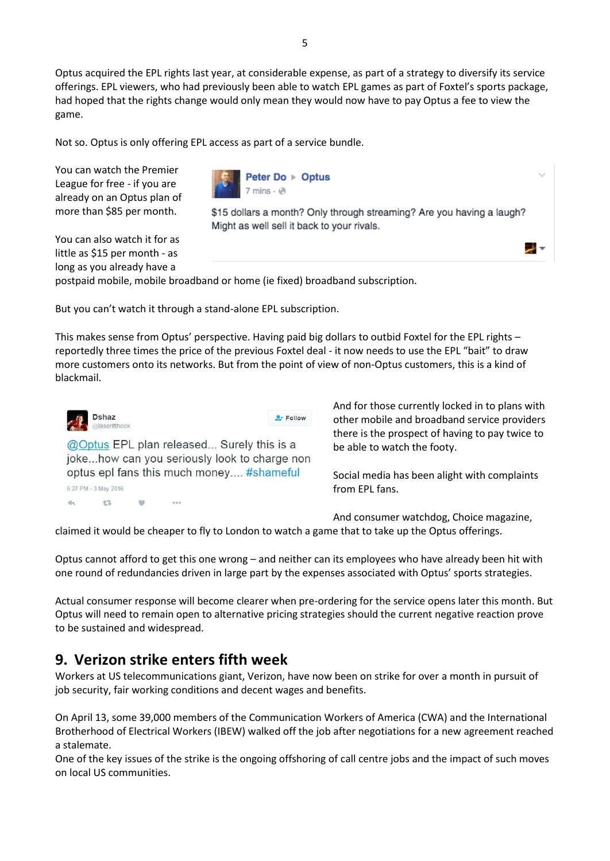Optus acquired the EPL rights last year, at considerable expense, as part of a strategy to diversify its service offerings. EPL viewers, who had previously been able to watch EPL games as part of Foxtel's sports package, had hoped that the rights change would only mean they would now have to pay Optus a fee to view the game.

Not so. Optus is only offering EPL access as part of a service bundle.

You can watch the Premier League for free - if you are already on an Optus plan of more than \$85 per month.

You can also watch it for as little as \$15 per month - as long as you already have a



\$15 dollars a month? Only through streaming? Are you having a laugh? Might as well sell it back to your rivals.

postpaid mobile, mobile broadband or home (ie fixed) broadband subscription.

But you can't watch it through a stand-alone EPL subscription.

This makes sense from Optus' perspective. Having paid big dollars to outbid Foxtel for the EPL rights – reportedly three times the price of the previous Foxtel deal - it now needs to use the EPL "bait" to draw more customers onto its networks. But from the point of view of non-Optus customers, this is a kind of blackmail.



And for those currently locked in to plans with other mobile and broadband service providers there is the prospect of having to pay twice to be able to watch the footy.

ی انتی

Social media has been alight with complaints from EPL fans.

And consumer watchdog, Choice magazine,

claimed it would be cheaper to fly to London to watch a game that to take up the Optus offerings.

Optus cannot afford to get this one wrong – and neither can its employees who have already been hit with one round of redundancies driven in large part by the expenses associated with Optus' sports strategies.

Actual consumer response will become clearer when pre-ordering for the service opens later this month. But Optus will need to remain open to alternative pricing strategies should the current negative reaction prove to be sustained and widespread.

#### **9. Verizon strike enters fifth week**

Workers at US telecommunications giant, Verizon, have now been on strike for over a month in pursuit of job security, fair working conditions and decent wages and benefits.

On April 13, some 39,000 members of the Communication Workers of America (CWA) and the International Brotherhood of Electrical Workers (IBEW) walked off the job after negotiations for a new agreement reached a stalemate.

One of the key issues of the strike is the ongoing offshoring of call centre jobs and the impact of such moves on local US communities.